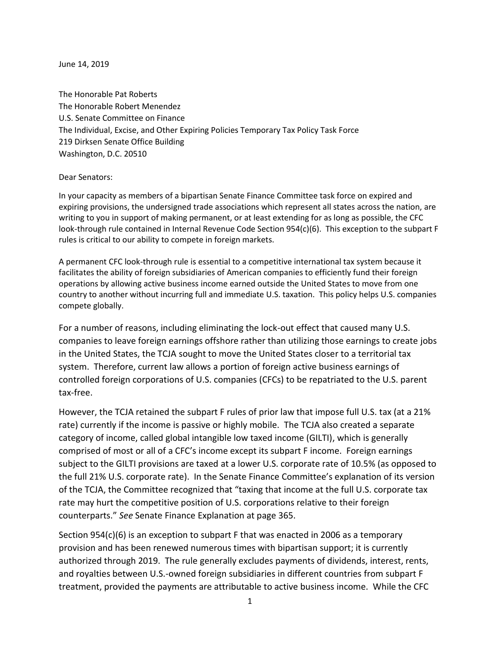June 14, 2019

The Honorable Pat Roberts The Honorable Robert Menendez U.S. Senate Committee on Finance The Individual, Excise, and Other Expiring Policies Temporary Tax Policy Task Force 219 Dirksen Senate Office Building Washington, D.C. 20510

## Dear Senators:

In your capacity as members of a bipartisan Senate Finance Committee task force on expired and expiring provisions, the undersigned trade associations which represent all states across the nation, are writing to you in support of making permanent, or at least extending for as long as possible, the CFC look-through rule contained in Internal Revenue Code Section 954(c)(6). This exception to the subpart F rules is critical to our ability to compete in foreign markets.

A permanent CFC look-through rule is essential to a competitive international tax system because it facilitates the ability of foreign subsidiaries of American companies to efficiently fund their foreign operations by allowing active business income earned outside the United States to move from one country to another without incurring full and immediate U.S. taxation. This policy helps U.S. companies compete globally.

For a number of reasons, including eliminating the lock-out effect that caused many U.S. companies to leave foreign earnings offshore rather than utilizing those earnings to create jobs in the United States, the TCJA sought to move the United States closer to a territorial tax system. Therefore, current law allows a portion of foreign active business earnings of controlled foreign corporations of U.S. companies (CFCs) to be repatriated to the U.S. parent tax-free.

However, the TCJA retained the subpart F rules of prior law that impose full U.S. tax (at a 21% rate) currently if the income is passive or highly mobile. The TCJA also created a separate category of income, called global intangible low taxed income (GILTI), which is generally comprised of most or all of a CFC's income except its subpart F income. Foreign earnings subject to the GILTI provisions are taxed at a lower U.S. corporate rate of 10.5% (as opposed to the full 21% U.S. corporate rate). In the Senate Finance Committee's explanation of its version of the TCJA, the Committee recognized that "taxing that income at the full U.S. corporate tax rate may hurt the competitive position of U.S. corporations relative to their foreign counterparts." *See* Senate Finance Explanation at page 365.

Section 954(c)(6) is an exception to subpart F that was enacted in 2006 as a temporary provision and has been renewed numerous times with bipartisan support; it is currently authorized through 2019. The rule generally excludes payments of dividends, interest, rents, and royalties between U.S.-owned foreign subsidiaries in different countries from subpart F treatment, provided the payments are attributable to active business income. While the CFC